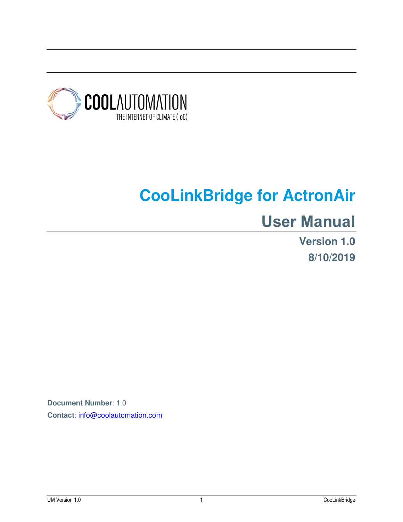

# **CooLinkBridge for ActronAir**

# **User Manual**

**Version 1.0 8/10/2019**

**Document Number**: 1.0 **Contact**: [info@coolautomation.com](mailto:info@coolautomation.com)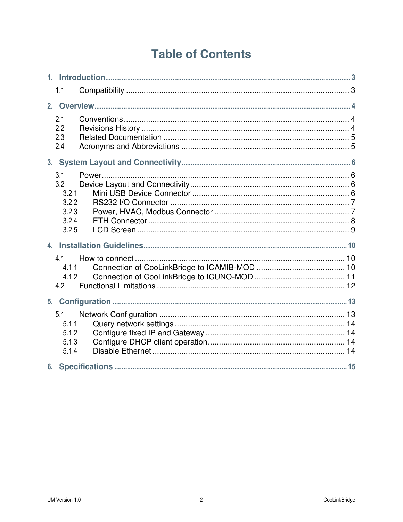# **Table of Contents**

|                | 1.1                                                     |  |  |  |
|----------------|---------------------------------------------------------|--|--|--|
| 2.             |                                                         |  |  |  |
|                | 2.1<br>2.2<br>2.3<br>2.4                                |  |  |  |
| 3.             |                                                         |  |  |  |
|                | 3.1<br>3.2<br>3.2.1<br>3.2.2<br>3.2.3<br>3.2.4<br>3.2.5 |  |  |  |
|                |                                                         |  |  |  |
|                | 4.1<br>4.1.1<br>4.1.2<br>4.2                            |  |  |  |
| 5 <sub>1</sub> |                                                         |  |  |  |
|                | 5.1<br>5.1.1<br>5.1.2<br>5.1.3<br>5.1.4                 |  |  |  |
| 6.             |                                                         |  |  |  |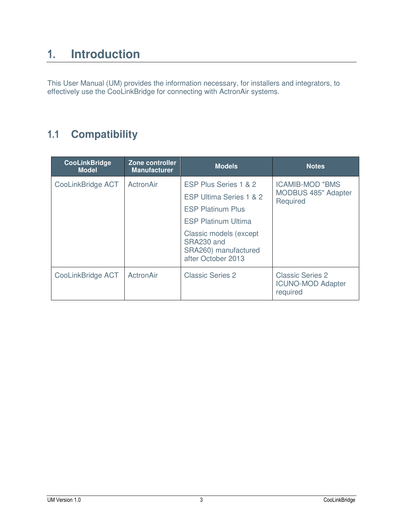# <span id="page-2-0"></span>**1. Introduction**

This User Manual (UM) provides the information necessary, for installers and integrators, to effectively use the CooLinkBridge for connecting with ActronAir systems.

### <span id="page-2-1"></span>**1.1 Compatibility**

| <b>CooLinkBridge</b><br><b>Model</b> | Zone controller<br><b>Manufacturer</b> | <b>Models</b>                                                                                                                                                                                    | <b>Notes</b>                                                     |
|--------------------------------------|----------------------------------------|--------------------------------------------------------------------------------------------------------------------------------------------------------------------------------------------------|------------------------------------------------------------------|
| CooLinkBridge ACT                    | ActronAir                              | ESP Plus Series 1 & 2<br>ESP Ultima Series 1 & 2<br><b>ESP Platinum Plus</b><br><b>ESP Platinum Ultima</b><br>Classic models (except<br>SRA230 and<br>SRA260) manufactured<br>after October 2013 | <b>ICAMIB-MOD "BMS</b><br><b>MODBUS 485" Adapter</b><br>Required |
| CooLinkBridge ACT                    | ActronAir                              | <b>Classic Series 2</b>                                                                                                                                                                          | <b>Classic Series 2</b><br><b>ICUNO-MOD Adapter</b><br>required  |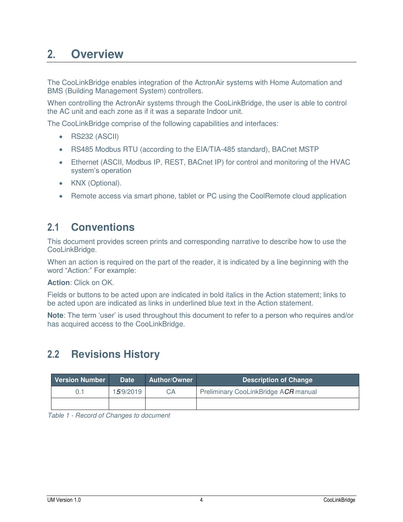# <span id="page-3-0"></span>**2. Overview**

The CooLinkBridge enables integration of the ActronAir systems with Home Automation and BMS (Building Management System) controllers.

When controlling the ActronAir systems through the CooLinkBridge, the user is able to control the AC unit and each zone as if it was a separate Indoor unit.

The CooLinkBridge comprise of the following capabilities and interfaces:

- RS232 (ASCII)
- RS485 Modbus RTU (according to the EIA/TIA-485 standard), BACnet MSTP
- Ethernet (ASCII, Modbus IP, REST, BACnet IP) for control and monitoring of the HVAC system's operation
- KNX (Optional).
- Remote access via smart phone, tablet or PC using the CoolRemote cloud application

#### <span id="page-3-1"></span>**2.1 Conventions**

This document provides screen prints and corresponding narrative to describe how to use the CooLinkBridge.

When an action is required on the part of the reader, it is indicated by a line beginning with the word "Action:" For example:

**Action**: Click on OK.

Fields or buttons to be acted upon are indicated in bold italics in the Action statement; links to be acted upon are indicated as links in underlined blue text in the Action statement.

**Note**: The term 'user' is used throughout this document to refer to a person who requires and/or has acquired access to the CooLinkBridge.

### <span id="page-3-2"></span>**2.2 Revisions History**

| <b>Version Number</b> | <b>Date</b>        | <b>Author/Owner</b> | Description of Change                |
|-----------------------|--------------------|---------------------|--------------------------------------|
|                       | 1 <i>5</i> /9/2019 | CА                  | Preliminary CooLinkBridge ACR manual |
|                       |                    |                     |                                      |

*Table 1 - Record of Changes to document*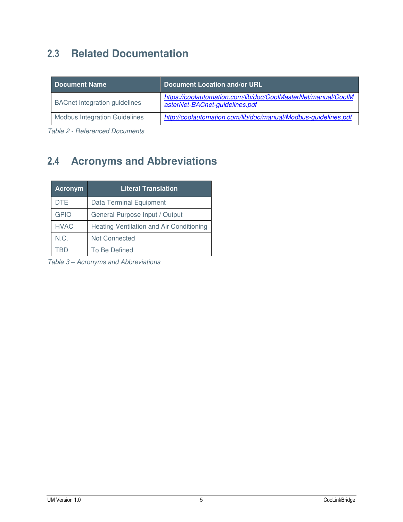# <span id="page-4-0"></span>**2.3 Related Documentation**

| <b>Document Name</b>                 | Document Location and/or URL                                                                    |  |
|--------------------------------------|-------------------------------------------------------------------------------------------------|--|
| <b>BACnet integration guidelines</b> | https://coolautomation.com/lib/doc/CoolMasterNet/manual/CoolM<br>asterNet-BACnet-guidelines.pdf |  |
| <b>Modbus Integration Guidelines</b> | http://coolautomation.com/lib/doc/manual/Modbus-guidelines.pdf                                  |  |

*Table 2 - Referenced Documents* 

## <span id="page-4-1"></span>**2.4 Acronyms and Abbreviations**

| <b>Acronym</b> | <b>Literal Translation</b>                      |
|----------------|-------------------------------------------------|
| <b>DTE</b>     | <b>Data Terminal Equipment</b>                  |
| <b>GPIO</b>    | General Purpose Input / Output                  |
| <b>HVAC</b>    | <b>Heating Ventilation and Air Conditioning</b> |
| N.C.           | <b>Not Connected</b>                            |
| TRD            | To Be Defined                                   |

*Table 3 – Acronyms and Abbreviations*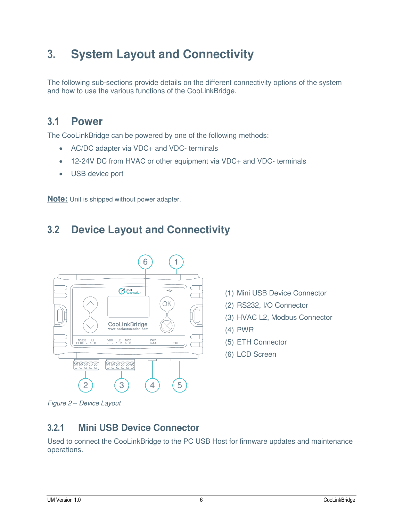# <span id="page-5-0"></span>**3. System Layout and Connectivity**

The following sub-sections provide details on the different connectivity options of the system and how to use the various functions of the CooLinkBridge.

#### <span id="page-5-1"></span>**3.1 Power**

The CooLinkBridge can be powered by one of the following methods:

- AC/DC adapter via VDC+ and VDC- terminals
- 12-24V DC from HVAC or other equipment via VDC+ and VDC- terminals
- USB device port

**Note:** Unit is shipped without power adapter.

### <span id="page-5-2"></span>**3.2 Device Layout and Connectivity**



- (1) Mini USB Device Connector
- (2) RS232, I/O Connector
- (3) HVAC L2, Modbus Connector
- (4) PWR
- (5) ETH Connector
- (6) LCD Screen

*Figure 2 – Device Layout* 

#### <span id="page-5-3"></span>**3.2.1 Mini USB Device Connector**

Used to connect the CooLinkBridge to the PC USB Host for firmware updates and maintenance operations.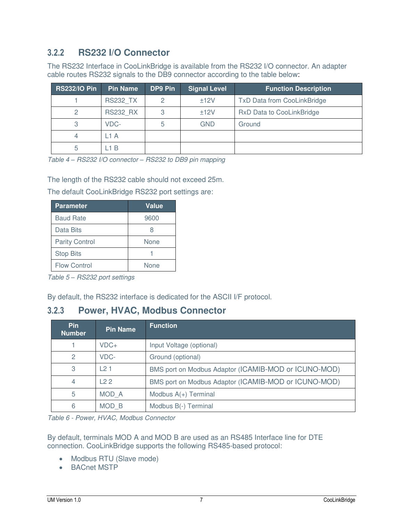#### <span id="page-6-0"></span>**3.2.2 RS232 I/O Connector**

The RS232 Interface in CooLinkBridge is available from the RS232 I/O connector. An adapter cable routes RS232 signals to the DB9 connector according to the table below:

| <b>RS232/IO Pin</b> | <b>Pin Name</b> | DP9 Pin | <b>Signal Level</b> | <b>Function Description</b>        |
|---------------------|-----------------|---------|---------------------|------------------------------------|
|                     | <b>RS232 TX</b> |         | ±12V                | <b>TxD Data from CooLinkBridge</b> |
|                     | <b>RS232 RX</b> |         | ±12V                | <b>RxD Data to CooLinkBridge</b>   |
| 3                   | VDC-            | 5       | GND                 | Ground                             |
|                     | L1 A            |         |                     |                                    |
| 5                   | 1 B             |         |                     |                                    |

*Table 4 – RS232 I/O connector – RS232 to DB9 pin mapping* 

The length of the RS232 cable should not exceed 25m.

The default CooLinkBridge RS232 port settings are:

| <b>Parameter</b>      | <b>Value</b> |
|-----------------------|--------------|
| <b>Baud Rate</b>      | 9600         |
| Data Bits             |              |
| <b>Parity Control</b> | None         |
| <b>Stop Bits</b>      |              |
| <b>Flow Control</b>   | None         |

*Table 5 – RS232 port settings* 

By default, the RS232 interface is dedicated for the ASCII I/F protocol.

#### <span id="page-6-1"></span>**3.2.3 Power, HVAC, Modbus Connector**

| <b>Pin</b><br><b>Number</b> | <b>Pin Name</b> | <b>Function</b>                                      |
|-----------------------------|-----------------|------------------------------------------------------|
|                             | $VDC+$          | Input Voltage (optional)                             |
| $\mathcal{P}$               | VDC-            | Ground (optional)                                    |
| 3                           | 121             | BMS port on Modbus Adaptor (ICAMIB-MOD or ICUNO-MOD) |
| 4                           | 122             | BMS port on Modbus Adaptor (ICAMIB-MOD or ICUNO-MOD) |
| 5                           | MOD A           | Modbus $A(+)$ Terminal                               |
| 6                           | MOD B           | Modbus B(-) Terminal                                 |

*Table 6 - Power, HVAC, Modbus Connector* 

By default, terminals MOD A and MOD B are used as an RS485 Interface line for DTE connection. CooLinkBridge supports the following RS485-based protocol:

- Modbus RTU (Slave mode)
- BACnet MSTP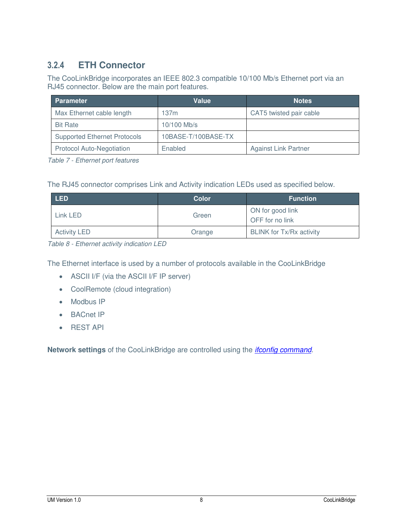### <span id="page-7-0"></span>**3.2.4 ETH Connector**

The CooLinkBridge incorporates an IEEE 802.3 compatible 10/100 Mb/s Ethernet port via an RJ45 connector. Below are the main port features.

| <b>Parameter</b>                    | Value               | <b>Notes</b>                |
|-------------------------------------|---------------------|-----------------------------|
| Max Ethernet cable length           | 137m                | CAT5 twisted pair cable     |
| <b>Bit Rate</b>                     | 10/100 Mb/s         |                             |
| <b>Supported Ethernet Protocols</b> | 10BASE-T/100BASE-TX |                             |
| <b>Protocol Auto-Negotiation</b>    | Enabled             | <b>Against Link Partner</b> |

*Table 7 - Ethernet port features*

The RJ45 connector comprises Link and Activity indication LEDs used as specified below.

| <b>LED</b>          | Color  | <b>Function</b>                     |
|---------------------|--------|-------------------------------------|
| Link LED            | Green  | ON for good link<br>OFF for no link |
| <b>Activity LED</b> | Orange | <b>BLINK for Tx/Rx activity</b>     |

*Table 8 - Ethernet activity indication LED*

The Ethernet interface is used by a number of protocols available in the CooLinkBridge

- ASCII I/F (via the ASCII I/F IP server)
- CoolRemote (cloud integration)
- Modbus IP
- BACnet IP
- **•** REST API

**Network settings** of the CooLinkBridge are controlled using the *[ifconfig command](#page-12-1)*.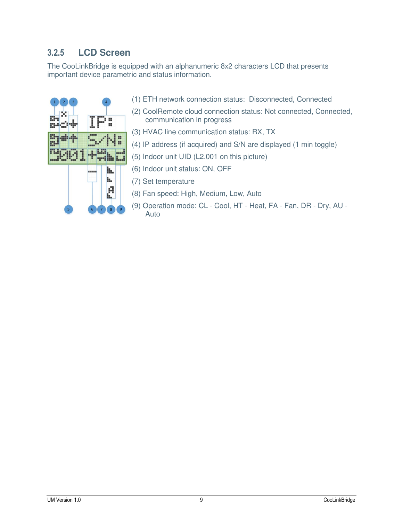#### <span id="page-8-0"></span>**3.2.5 LCD Screen**

The CooLinkBridge is equipped with an alphanumeric 8x2 characters LCD that presents important device parametric and status information.



- (1) ETH network connection status: Disconnected, Connected
- (2) CoolRemote cloud connection status: Not connected, Connected, communication in progress
- (3) HVAC line communication status: RX, TX
- (4) IP address (if acquired) and S/N are displayed (1 min toggle)
- (5) Indoor unit UID (L2.001 on this picture)
- (6) Indoor unit status: ON, OFF
- (7) Set temperature
- (8) Fan speed: High, Medium, Low, Auto
- (9) Operation mode: CL Cool, HT Heat, FA Fan, DR Dry, AU Auto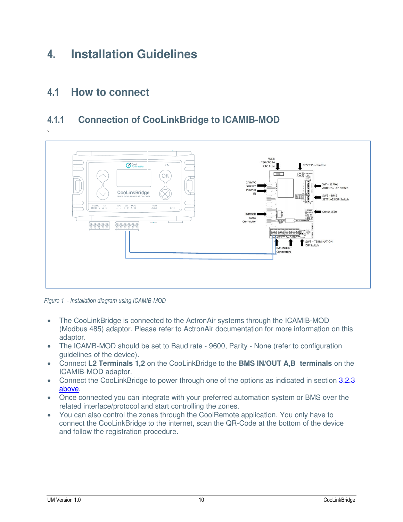# <span id="page-9-0"></span>**4. Installation Guidelines**

#### <span id="page-9-1"></span>**4.1 How to connect**

#### <span id="page-9-2"></span>**4.1.1 Connection of CooLinkBridge to ICAMIB-MOD**



*Figure 1 - Installation diagram using ICAMIB-MOD*

- The CooLinkBridge is connected to the ActronAir systems through the ICAMIB-MOD (Modbus 485) adaptor. Please refer to ActronAir documentation for more information on this adaptor.
- The ICAMB-MOD should be set to Baud rate 9600, Parity None (refer to configuration guidelines of the device).
- Connect **L2 Terminals 1,2** on the CooLinkBridge to the **BMS IN/OUT A,B terminals** on the ICAMIB-MOD adaptor.
- Connect the CooLinkBridge to power through one of the options as indicated in section 3.2.3 [above.](#page-5-1)
- Once connected you can integrate with your preferred automation system or BMS over the related interface/protocol and start controlling the zones.
- You can also control the zones through the CoolRemote application. You only have to connect the CooLinkBridge to the internet, scan the QR-Code at the bottom of the device and follow the registration procedure.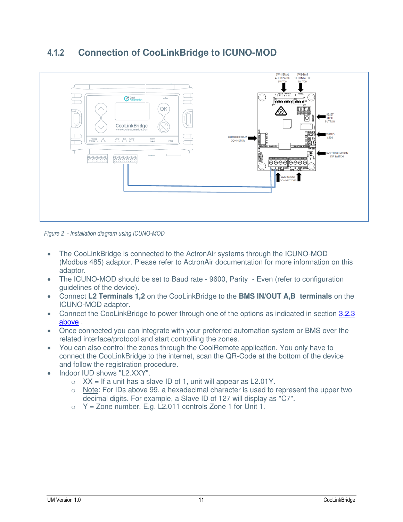

#### <span id="page-10-0"></span>**4.1.2 Connection of CooLinkBridge to ICUNO-MOD**

*Figure 2 - Installation diagram using ICUNO-MOD* 

- The CooLinkBridge is connected to the ActronAir systems through the ICUNO-MOD (Modbus 485) adaptor. Please refer to ActronAir documentation for more information on this adaptor.
- The ICUNO-MOD should be set to Baud rate 9600, Parity Even (refer to configuration guidelines of the device).
- Connect **L2 Terminals 1,2** on the CooLinkBridge to the **BMS IN/OUT A,B terminals** on the ICUNO-MOD adaptor.
- Connect the CooLinkBridge to power through one of the options as indicated in section [3.2.3](#page-5-1)  [above](#page-5-1) .
- Once connected you can integrate with your preferred automation system or BMS over the related interface/protocol and start controlling the zones.
- You can also control the zones through the CoolRemote application. You only have to connect the CooLinkBridge to the internet, scan the QR-Code at the bottom of the device and follow the registration procedure.
- Indoor IUD shows "L2.XXY".
	- $\circ$  XX = If a unit has a slave ID of 1, unit will appear as L2.01Y.
	- $\circ$  Note: For IDs above 99, a hexadecimal character is used to represent the upper two decimal digits. For example, a Slave ID of 127 will display as "C7".
	- $\circ$  Y = Zone number. E.g. L2.011 controls Zone 1 for Unit 1.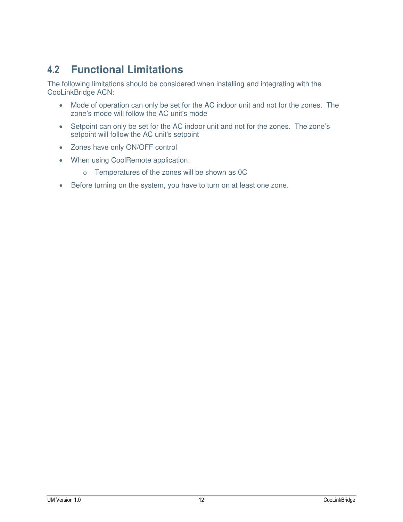### <span id="page-11-0"></span>**4.2 Functional Limitations**

The following limitations should be considered when installing and integrating with the CooLinkBridge ACN:

- Mode of operation can only be set for the AC indoor unit and not for the zones. The zone's mode will follow the AC unit's mode
- Setpoint can only be set for the AC indoor unit and not for the zones. The zone's setpoint will follow the AC unit's setpoint
- Zones have only ON/OFF control
- When using CoolRemote application:
	- o Temperatures of the zones will be shown as 0C
- Before turning on the system, you have to turn on at least one zone.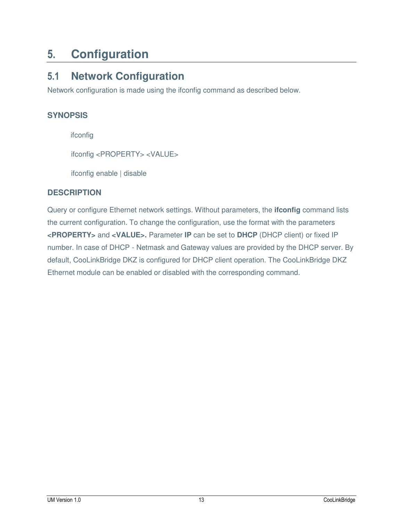# <span id="page-12-0"></span>**5. Configuration**

### <span id="page-12-1"></span>**5.1 Network Configuration**

Network configuration is made using the ifconfig command as described below.

#### **SYNOPSIS**

ifconfig

ifconfig <PROPERTY> <VALUE>

ifconfig enable | disable

#### **DESCRIPTION**

Query or configure Ethernet network settings. Without parameters, the **ifconfig** command lists the current configuration. To change the configuration, use the format with the parameters **<PROPERTY>** and **<VALUE>.** Parameter **IP** can be set to **DHCP** (DHCP client) or fixed IP number. In case of DHCP - Netmask and Gateway values are provided by the DHCP server. By default, CooLinkBridge DKZ is configured for DHCP client operation. The CooLinkBridge DKZ Ethernet module can be enabled or disabled with the corresponding command.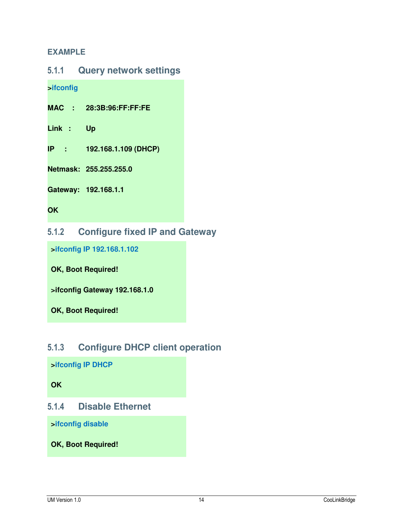#### **EXAMPLE**

<span id="page-13-0"></span>

**>ifconfig**

**MAC : 28:3B:96:FF:FF:FE**

**Link : Up**

**IP : 192.168.1.109 (DHCP)**

**Netmask: 255.255.255.0**

**Gateway: 192.168.1.1**

**OK**

#### <span id="page-13-1"></span>**5.1.2 Configure fixed IP and Gateway**

**>ifconfig IP 192.168.1.102** 

**OK, Boot Required!** 

**>ifconfig Gateway 192.168.1.0**

**OK, Boot Required!** 

#### <span id="page-13-2"></span>**5.1.3 Configure DHCP client operation**

**>ifconfig IP DHCP** 

**OK**

#### <span id="page-13-3"></span>**5.1.4 Disable Ethernet**

**>ifconfig disable** 

**OK, Boot Required!**